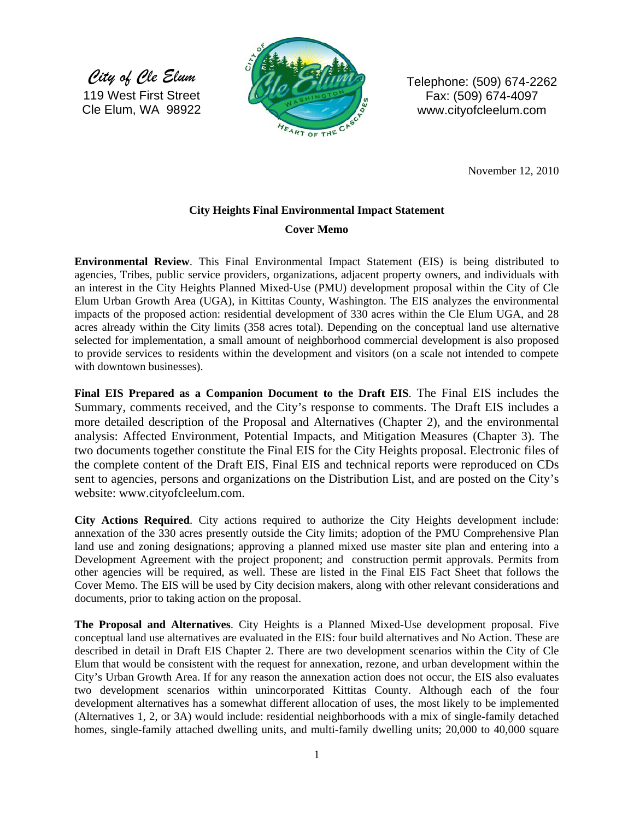*City of Cle Elum*  119 West First Street Cle Elum, WA 98922



Telephone: (509) 674-2262 Fax: (509) 674-4097 www.cityofcleelum.com

November 12, 2010

## **City Heights Final Environmental Impact Statement**

## **Cover Memo**

**Environmental Review**. This Final Environmental Impact Statement (EIS) is being distributed to agencies, Tribes, public service providers, organizations, adjacent property owners, and individuals with an interest in the City Heights Planned Mixed-Use (PMU) development proposal within the City of Cle Elum Urban Growth Area (UGA), in Kittitas County, Washington. The EIS analyzes the environmental impacts of the proposed action: residential development of 330 acres within the Cle Elum UGA, and 28 acres already within the City limits (358 acres total). Depending on the conceptual land use alternative selected for implementation, a small amount of neighborhood commercial development is also proposed to provide services to residents within the development and visitors (on a scale not intended to compete with downtown businesses).

**Final EIS Prepared as a Companion Document to the Draft EIS**. The Final EIS includes the Summary, comments received, and the City's response to comments. The Draft EIS includes a more detailed description of the Proposal and Alternatives (Chapter 2), and the environmental analysis: Affected Environment, Potential Impacts, and Mitigation Measures (Chapter 3). The two documents together constitute the Final EIS for the City Heights proposal. Electronic files of the complete content of the Draft EIS, Final EIS and technical reports were reproduced on CDs sent to agencies, persons and organizations on the Distribution List, and are posted on the City's website: www.cityofcleelum.com.

**City Actions Required**. City actions required to authorize the City Heights development include: annexation of the 330 acres presently outside the City limits; adoption of the PMU Comprehensive Plan land use and zoning designations; approving a planned mixed use master site plan and entering into a Development Agreement with the project proponent; and construction permit approvals. Permits from other agencies will be required, as well. These are listed in the Final EIS Fact Sheet that follows the Cover Memo. The EIS will be used by City decision makers, along with other relevant considerations and documents, prior to taking action on the proposal.

**The Proposal and Alternatives**. City Heights is a Planned Mixed-Use development proposal. Five conceptual land use alternatives are evaluated in the EIS: four build alternatives and No Action. These are described in detail in Draft EIS Chapter 2. There are two development scenarios within the City of Cle Elum that would be consistent with the request for annexation, rezone, and urban development within the City's Urban Growth Area. If for any reason the annexation action does not occur, the EIS also evaluates two development scenarios within unincorporated Kittitas County. Although each of the four development alternatives has a somewhat different allocation of uses, the most likely to be implemented (Alternatives 1, 2, or 3A) would include: residential neighborhoods with a mix of single-family detached homes, single-family attached dwelling units, and multi-family dwelling units; 20,000 to 40,000 square